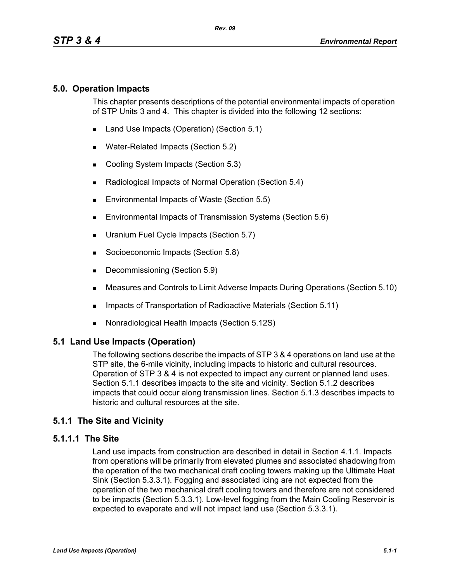## **5.0. Operation Impacts**

This chapter presents descriptions of the potential environmental impacts of operation of STP Units 3 and 4. This chapter is divided into the following 12 sections:

- Land Use Impacts (Operation) (Section 5.1)
- **Water-Related Impacts (Section 5.2)**
- Cooling System Impacts (Section 5.3)
- Radiological Impacts of Normal Operation (Section 5.4)
- Environmental Impacts of Waste (Section 5.5)
- **Environmental Impacts of Transmission Systems (Section 5.6)**
- **Uranium Fuel Cycle Impacts (Section 5.7)**
- Socioeconomic Impacts (Section 5.8)
- Decommissioning (Section 5.9)
- Measures and Controls to Limit Adverse Impacts During Operations (Section 5.10)
- **IMPACTER 15 Impacts of Transportation of Radioactive Materials (Section 5.11)**
- Nonradiological Health Impacts (Section 5.12S)

### **5.1 Land Use Impacts (Operation)**

The following sections describe the impacts of STP 3 & 4 operations on land use at the STP site, the 6-mile vicinity, including impacts to historic and cultural resources. Operation of STP 3 & 4 is not expected to impact any current or planned land uses. Section 5.1.1 describes impacts to the site and vicinity. Section 5.1.2 describes impacts that could occur along transmission lines. Section 5.1.3 describes impacts to historic and cultural resources at the site.

## **5.1.1 The Site and Vicinity**

### **5.1.1.1 The Site**

Land use impacts from construction are described in detail in Section 4.1.1. Impacts from operations will be primarily from elevated plumes and associated shadowing from the operation of the two mechanical draft cooling towers making up the Ultimate Heat Sink (Section 5.3.3.1). Fogging and associated icing are not expected from the operation of the two mechanical draft cooling towers and therefore are not considered to be impacts (Section 5.3.3.1). Low-level fogging from the Main Cooling Reservoir is expected to evaporate and will not impact land use (Section 5.3.3.1).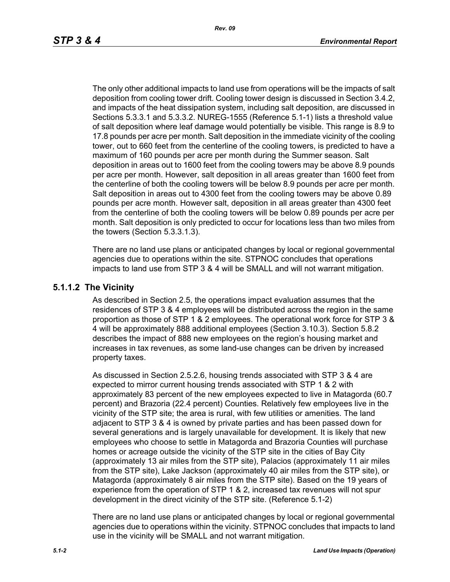The only other additional impacts to land use from operations will be the impacts of salt deposition from cooling tower drift. Cooling tower design is discussed in Section 3.4.2, and impacts of the heat dissipation system, including salt deposition, are discussed in Sections 5.3.3.1 and 5.3.3.2. NUREG-1555 (Reference 5.1-1) lists a threshold value of salt deposition where leaf damage would potentially be visible. This range is 8.9 to 17.8 pounds per acre per month. Salt deposition in the immediate vicinity of the cooling tower, out to 660 feet from the centerline of the cooling towers, is predicted to have a maximum of 160 pounds per acre per month during the Summer season. Salt deposition in areas out to 1600 feet from the cooling towers may be above 8.9 pounds per acre per month. However, salt deposition in all areas greater than 1600 feet from the centerline of both the cooling towers will be below 8.9 pounds per acre per month. Salt deposition in areas out to 4300 feet from the cooling towers may be above 0.89 pounds per acre month. However salt, deposition in all areas greater than 4300 feet from the centerline of both the cooling towers will be below 0.89 pounds per acre per month. Salt deposition is only predicted to occur for locations less than two miles from the towers (Section 5.3.3.1.3).

There are no land use plans or anticipated changes by local or regional governmental agencies due to operations within the site. STPNOC concludes that operations impacts to land use from STP 3 & 4 will be SMALL and will not warrant mitigation.

#### **5.1.1.2 The Vicinity**

As described in Section 2.5, the operations impact evaluation assumes that the residences of STP 3 & 4 employees will be distributed across the region in the same proportion as those of STP 1 & 2 employees. The operational work force for STP 3 & 4 will be approximately 888 additional employees (Section 3.10.3). Section 5.8.2 describes the impact of 888 new employees on the region's housing market and increases in tax revenues, as some land-use changes can be driven by increased property taxes.

As discussed in Section 2.5.2.6, housing trends associated with STP 3 & 4 are expected to mirror current housing trends associated with STP 1 & 2 with approximately 83 percent of the new employees expected to live in Matagorda (60.7 percent) and Brazoria (22.4 percent) Counties. Relatively few employees live in the vicinity of the STP site; the area is rural, with few utilities or amenities. The land adjacent to STP 3 & 4 is owned by private parties and has been passed down for several generations and is largely unavailable for development. It is likely that new employees who choose to settle in Matagorda and Brazoria Counties will purchase homes or acreage outside the vicinity of the STP site in the cities of Bay City (approximately 13 air miles from the STP site), Palacios (approximately 11 air miles from the STP site), Lake Jackson (approximately 40 air miles from the STP site), or Matagorda (approximately 8 air miles from the STP site). Based on the 19 years of experience from the operation of STP 1 & 2, increased tax revenues will not spur development in the direct vicinity of the STP site. (Reference 5.1-2)

There are no land use plans or anticipated changes by local or regional governmental agencies due to operations within the vicinity. STPNOC concludes that impacts to land use in the vicinity will be SMALL and not warrant mitigation.